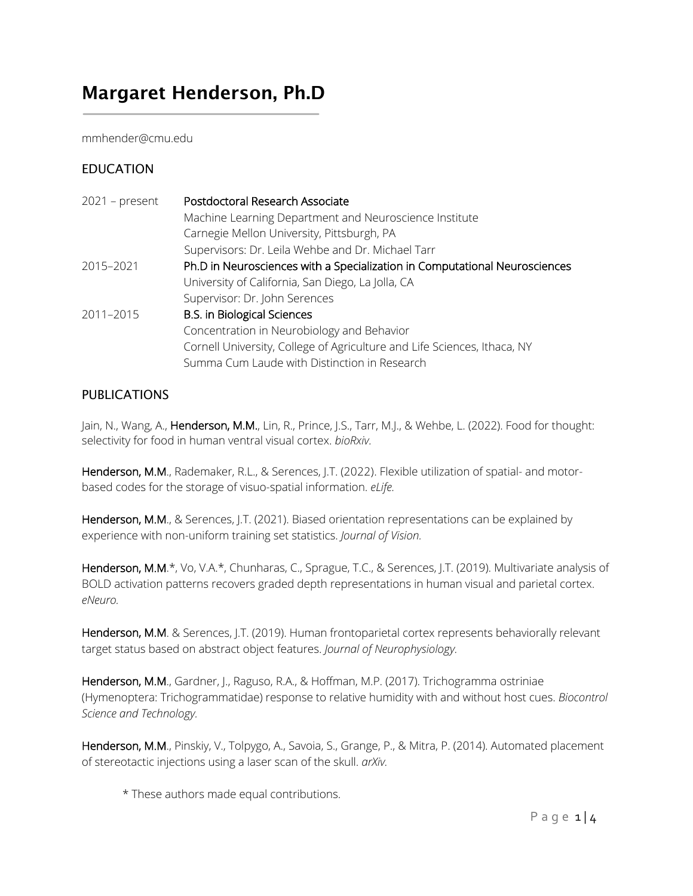# Margaret Henderson, Ph.D

mmhender@cmu.edu

# EDUCATION

 $\overline{\phantom{a}}$ 

| $2021$ – present | Postdoctoral Research Associate                                            |
|------------------|----------------------------------------------------------------------------|
|                  | Machine Learning Department and Neuroscience Institute                     |
|                  | Carnegie Mellon University, Pittsburgh, PA                                 |
|                  | Supervisors: Dr. Leila Wehbe and Dr. Michael Tarr                          |
| 2015-2021        | Ph.D in Neurosciences with a Specialization in Computational Neurosciences |
|                  | University of California, San Diego, La Jolla, CA                          |
|                  | Supervisor: Dr. John Serences                                              |
| 2011-2015        | <b>B.S. in Biological Sciences</b>                                         |
|                  | Concentration in Neurobiology and Behavior                                 |
|                  | Cornell University, College of Agriculture and Life Sciences, Ithaca, NY   |
|                  | Summa Cum Laude with Distinction in Research                               |

# PUBLICATIONS

Jain, N., Wang, A., Henderson, M.M., Lin, R., Prince, J.S., Tarr, M.J., & Wehbe, L. (2022). Food for thought: selectivity for food in human ventral visual cortex. *bioRxiv.*

Henderson, M.M., Rademaker, R.L., & Serences, J.T. (2022). Flexible utilization of spatial- and motorbased codes for the storage of visuo-spatial information. *eLife.*

Henderson, M.M., & Serences, J.T. (2021). Biased orientation representations can be explained by experience with non-uniform training set statistics. *Journal of Vision.*

Henderson, M.M.\*, Vo, V.A.\*, Chunharas, C., Sprague, T.C., & Serences, J.T. (2019). Multivariate analysis of BOLD activation patterns recovers graded depth representations in human visual and parietal cortex. *eNeuro.*

Henderson, M.M. & Serences, J.T. (2019). Human frontoparietal cortex represents behaviorally relevant target status based on abstract object features. *Journal of Neurophysiology.*

Henderson, M.M., Gardner, J., Raguso, R.A., & Hoffman, M.P. (2017). Trichogramma ostriniae (Hymenoptera: Trichogrammatidae) response to relative humidity with and without host cues. *Biocontrol Science and Technology.*

Henderson, M.M., Pinskiy, V., Tolpygo, A., Savoia, S., Grange, P., & Mitra, P. (2014). Automated placement of stereotactic injections using a laser scan of the skull. *arXiv.*

\* These authors made equal contributions.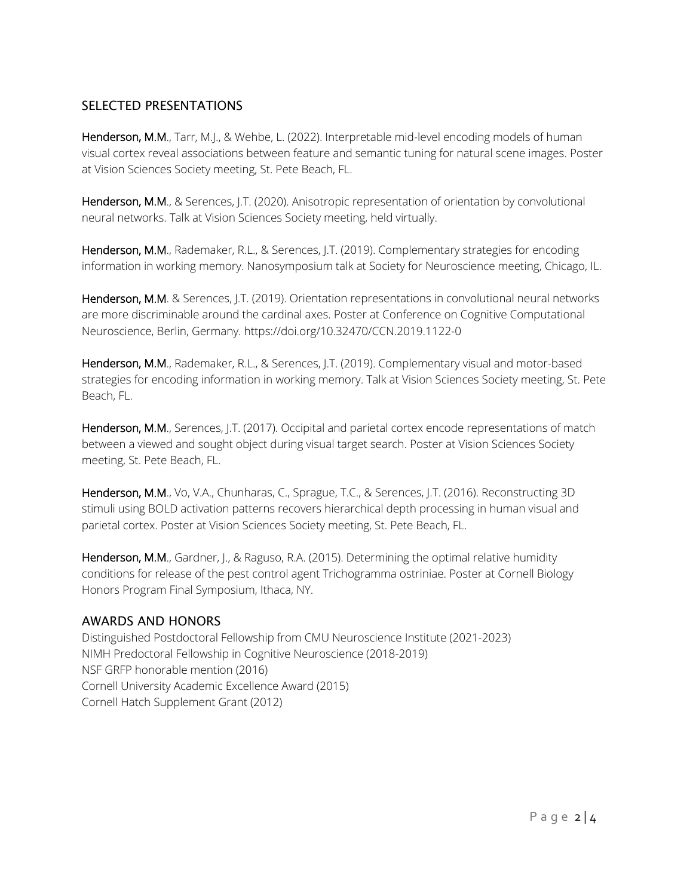# SELECTED PRESENTATIONS

Henderson, M.M., Tarr, M.J., & Wehbe, L. (2022). Interpretable mid-level encoding models of human visual cortex reveal associations between feature and semantic tuning for natural scene images. Poster at Vision Sciences Society meeting, St. Pete Beach, FL.

Henderson, M.M., & Serences, J.T. (2020). Anisotropic representation of orientation by convolutional neural networks. Talk at Vision Sciences Society meeting, held virtually.

Henderson, M.M., Rademaker, R.L., & Serences, J.T. (2019). Complementary strategies for encoding information in working memory. Nanosymposium talk at Society for Neuroscience meeting, Chicago, IL.

Henderson, M.M. & Serences, J.T. (2019). Orientation representations in convolutional neural networks are more discriminable around the cardinal axes. Poster at Conference on Cognitive Computational Neuroscience, Berlin, Germany. https://doi.org/10.32470/CCN.2019.1122-0

Henderson, M.M., Rademaker, R.L., & Serences, J.T. (2019). Complementary visual and motor-based strategies for encoding information in working memory. Talk at Vision Sciences Society meeting, St. Pete Beach, FL.

Henderson, M.M., Serences, J.T. (2017). Occipital and parietal cortex encode representations of match between a viewed and sought object during visual target search. Poster at Vision Sciences Society meeting, St. Pete Beach, FL.

Henderson, M.M., Vo, V.A., Chunharas, C., Sprague, T.C., & Serences, J.T. (2016). Reconstructing 3D stimuli using BOLD activation patterns recovers hierarchical depth processing in human visual and parietal cortex. Poster at Vision Sciences Society meeting, St. Pete Beach, FL.

Henderson, M.M., Gardner, J., & Raguso, R.A. (2015). Determining the optimal relative humidity conditions for release of the pest control agent Trichogramma ostriniae. Poster at Cornell Biology Honors Program Final Symposium, Ithaca, NY.

# AWARDS AND HONORS

Distinguished Postdoctoral Fellowship from CMU Neuroscience Institute (2021-2023) NIMH Predoctoral Fellowship in Cognitive Neuroscience (2018-2019) NSF GRFP honorable mention (2016) Cornell University Academic Excellence Award (2015) Cornell Hatch Supplement Grant (2012)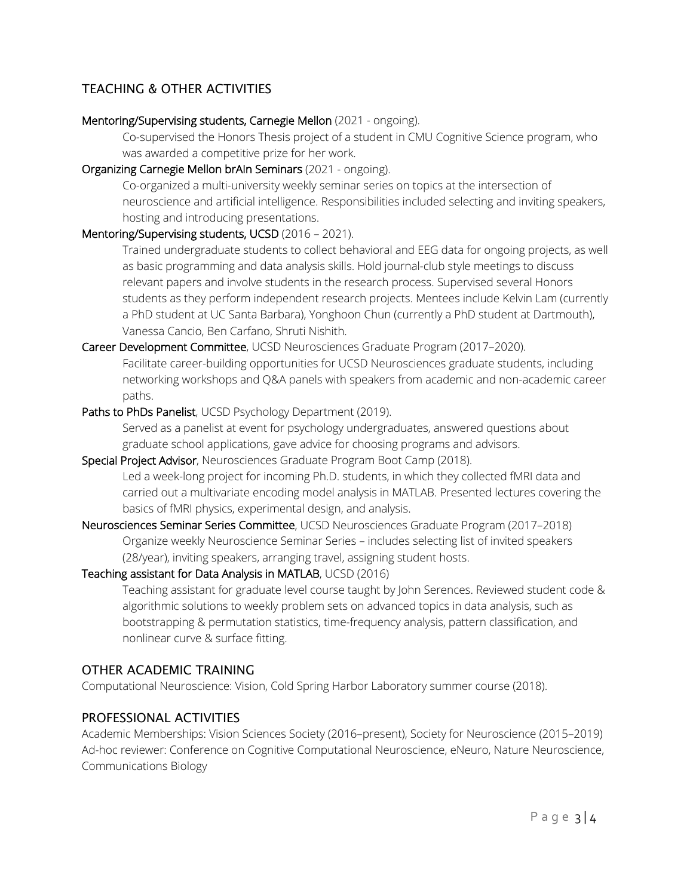# TEACHING & OTHER ACTIVITIES

#### Mentoring/Supervising students, Carnegie Mellon (2021 - ongoing).

Co-supervised the Honors Thesis project of a student in CMU Cognitive Science program, who was awarded a competitive prize for her work.

#### Organizing Carnegie Mellon brAIn Seminars (2021 - ongoing).

Co-organized a multi-university weekly seminar series on topics at the intersection of neuroscience and artificial intelligence. Responsibilities included selecting and inviting speakers, hosting and introducing presentations.

# Mentoring/Supervising students, UCSD (2016 – 2021).

Trained undergraduate students to collect behavioral and EEG data for ongoing projects, as well as basic programming and data analysis skills. Hold journal-club style meetings to discuss relevant papers and involve students in the research process. Supervised several Honors students as they perform independent research projects. Mentees include Kelvin Lam (currently a PhD student at UC Santa Barbara), Yonghoon Chun (currently a PhD student at Dartmouth), Vanessa Cancio, Ben Carfano, Shruti Nishith.

Career Development Committee, UCSD Neurosciences Graduate Program (2017–2020). Facilitate career-building opportunities for UCSD Neurosciences graduate students, including networking workshops and Q&A panels with speakers from academic and non-academic career paths.

# Paths to PhDs Panelist, UCSD Psychology Department (2019).

Served as a panelist at event for psychology undergraduates, answered questions about graduate school applications, gave advice for choosing programs and advisors.

# Special Project Advisor, Neurosciences Graduate Program Boot Camp (2018). Led a week-long project for incoming Ph.D. students, in which they collected fMRI data and carried out a multivariate encoding model analysis in MATLAB. Presented lectures covering the basics of fMRI physics, experimental design, and analysis.

Neurosciences Seminar Series Committee, UCSD Neurosciences Graduate Program (2017–2018) Organize weekly Neuroscience Seminar Series – includes selecting list of invited speakers (28/year), inviting speakers, arranging travel, assigning student hosts.

#### Teaching assistant for Data Analysis in MATLAB, UCSD (2016)

Teaching assistant for graduate level course taught by John Serences. Reviewed student code & algorithmic solutions to weekly problem sets on advanced topics in data analysis, such as bootstrapping & permutation statistics, time-frequency analysis, pattern classification, and nonlinear curve & surface fitting.

# OTHER ACADEMIC TRAINING

Computational Neuroscience: Vision, Cold Spring Harbor Laboratory summer course (2018).

# PROFESSIONAL ACTIVITIES

Academic Memberships: Vision Sciences Society (2016–present), Society for Neuroscience (2015–2019) Ad-hoc reviewer: Conference on Cognitive Computational Neuroscience, eNeuro, Nature Neuroscience, Communications Biology